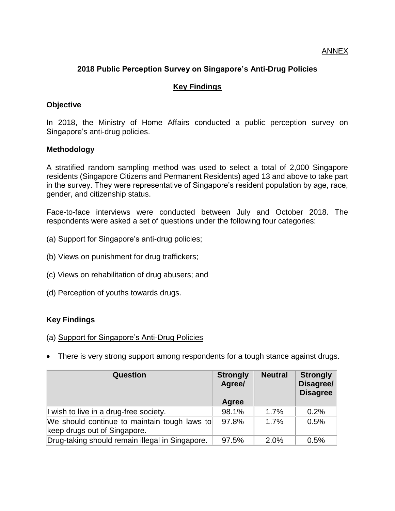ANNEX

## **2018 Public Perception Survey on Singapore's Anti-Drug Policies**

### **Key Findings**

### **Objective**

In 2018, the Ministry of Home Affairs conducted a public perception survey on Singapore's anti-drug policies.

### **Methodology**

A stratified random sampling method was used to select a total of 2,000 Singapore residents (Singapore Citizens and Permanent Residents) aged 13 and above to take part in the survey. They were representative of Singapore's resident population by age, race, gender, and citizenship status.

Face-to-face interviews were conducted between July and October 2018. The respondents were asked a set of questions under the following four categories:

- (a) Support for Singapore's anti-drug policies;
- (b) Views on punishment for drug traffickers;
- (c) Views on rehabilitation of drug abusers; and
- (d) Perception of youths towards drugs.

### **Key Findings**

- (a) Support for Singapore's Anti-Drug Policies
- There is very strong support among respondents for a tough stance against drugs.

| Question                                                                     | <b>Strongly</b><br>Agree/ | <b>Neutral</b> | <b>Strongly</b><br>Disagree/<br><b>Disagree</b> |
|------------------------------------------------------------------------------|---------------------------|----------------|-------------------------------------------------|
|                                                                              | Agree                     |                |                                                 |
| I wish to live in a drug-free society.                                       | 98.1%                     | 1.7%           | 0.2%                                            |
| We should continue to maintain tough laws to<br>keep drugs out of Singapore. | 97.8%                     | 1.7%           | 0.5%                                            |
| Drug-taking should remain illegal in Singapore.                              | 97.5%                     | 2.0%           | 0.5%                                            |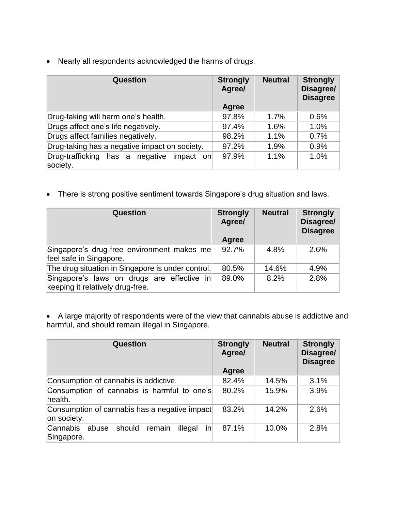Nearly all respondents acknowledged the harms of drugs.

| Question                                                 | <b>Strongly</b><br>Agree/<br>Agree | <b>Neutral</b> | <b>Strongly</b><br>Disagree/<br><b>Disagree</b> |
|----------------------------------------------------------|------------------------------------|----------------|-------------------------------------------------|
| Drug-taking will harm one's health.                      | 97.8%                              | 1.7%           | 0.6%                                            |
| Drugs affect one's life negatively.                      | 97.4%                              | 1.6%           | 1.0%                                            |
| Drugs affect families negatively.                        | 98.2%                              | 1.1%           | 0.7%                                            |
| Drug-taking has a negative impact on society.            | 97.2%                              | 1.9%           | 0.9%                                            |
| Drug-trafficking has a negative<br>impact on<br>society. | 97.9%                              | 1.1%           | 1.0%                                            |

There is strong positive sentiment towards Singapore's drug situation and laws.

| <b>Question</b>                                                                | <b>Strongly</b><br>Agree/ | <b>Neutral</b> | <b>Strongly</b><br>Disagree/<br><b>Disagree</b> |
|--------------------------------------------------------------------------------|---------------------------|----------------|-------------------------------------------------|
|                                                                                | Agree                     |                |                                                 |
| Singapore's drug-free environment makes me<br>feel safe in Singapore.          | 92.7%                     | 4.8%           | 2.6%                                            |
| The drug situation in Singapore is under control.                              | 80.5%                     | 14.6%          | 4.9%                                            |
| Singapore's laws on drugs are effective in<br>keeping it relatively drug-free. | 89.0%                     | 8.2%           | 2.8%                                            |

 A large majority of respondents were of the view that cannabis abuse is addictive and harmful, and should remain illegal in Singapore.

| Question                                                                            | <b>Strongly</b><br>Agree/<br>Agree | <b>Neutral</b> | <b>Strongly</b><br>Disagree/<br><b>Disagree</b> |
|-------------------------------------------------------------------------------------|------------------------------------|----------------|-------------------------------------------------|
| Consumption of cannabis is addictive.                                               | 82.4%                              | 14.5%          | 3.1%                                            |
| Consumption of cannabis is harmful to one's<br>health.                              | 80.2%                              | 15.9%          | 3.9%                                            |
| Consumption of cannabis has a negative impact<br>on society.                        | 83.2%                              | 14.2%          | 2.6%                                            |
| <b>Cannabis</b><br>abuse should<br>remain<br>$\mathsf{in}$<br>illegal<br>Singapore. | 87.1%                              | 10.0%          | 2.8%                                            |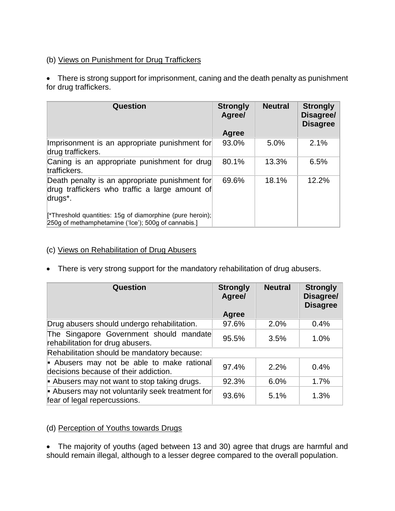# (b) Views on Punishment for Drug Traffickers

• There is strong support for imprisonment, caning and the death penalty as punishment for drug traffickers.

| Question                                                                                                                 | <b>Strongly</b><br>Agree/<br>Agree | <b>Neutral</b> | <b>Strongly</b><br>Disagree/<br><b>Disagree</b> |
|--------------------------------------------------------------------------------------------------------------------------|------------------------------------|----------------|-------------------------------------------------|
| Imprisonment is an appropriate punishment for<br>drug traffickers.                                                       | 93.0%                              | 5.0%           | 2.1%                                            |
| Caning is an appropriate punishment for drug<br>traffickers.                                                             | 80.1%                              | 13.3%          | 6.5%                                            |
| Death penalty is an appropriate punishment for<br>drug traffickers who traffic a large amount of<br>drugs <sup>*</sup> . | 69.6%                              | 18.1%          | 12.2%                                           |
| [*Threshold quantities: 15g of diamorphine (pure heroin);<br>250g of methamphetamine ('Ice'); 500g of cannabis.]         |                                    |                |                                                 |

## (c) Views on Rehabilitation of Drug Abusers

• There is very strong support for the mandatory rehabilitation of drug abusers.

| <b>Question</b>                                                                     | <b>Strongly</b><br>Agree/<br>Agree | <b>Neutral</b> | <b>Strongly</b><br>Disagree/<br><b>Disagree</b> |
|-------------------------------------------------------------------------------------|------------------------------------|----------------|-------------------------------------------------|
| Drug abusers should undergo rehabilitation.                                         | 97.6%                              | 2.0%           | 0.4%                                            |
| The Singapore Government should mandate<br>rehabilitation for drug abusers.         | 95.5%                              | 3.5%           | 1.0%                                            |
| Rehabilitation should be mandatory because:                                         |                                    |                |                                                 |
| - Abusers may not be able to make rational<br>decisions because of their addiction. | 97.4%                              | 2.2%           | 0.4%                                            |
| - Abusers may not want to stop taking drugs.                                        | 92.3%                              | 6.0%           | 1.7%                                            |
| - Abusers may not voluntarily seek treatment for<br>fear of legal repercussions.    | 93.6%                              | 5.1%           | 1.3%                                            |

## (d) Perception of Youths towards Drugs

 The majority of youths (aged between 13 and 30) agree that drugs are harmful and should remain illegal, although to a lesser degree compared to the overall population.